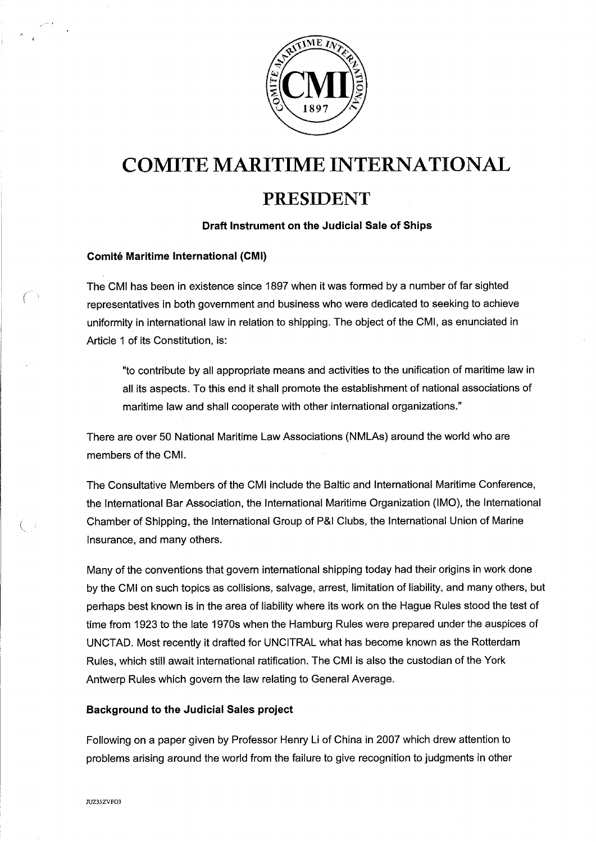

# **COMITE MARITIME INTERNATIONAL**

# PRESIDENT

## Draft Instrument on the Judicial Sale of Ships

### Comité Maritime International (CMI)

The CMI has been in existence since 1897 when it was formed by a number of far sighted representatives in both government and business who were dedicated to seeking to achieve uniformity in international law in relation to shipping. The object of the CMI, as enunciated in Article 1 of its Constitution, is:

"to contribute by all appropriate means and activities to the unification of maritime law in all its aspects. To this end it shall promote the establishment of national associations of maritime law and shall cooperate with other international organizations."

There are over 50 National Maritime Law Associations (NMLAs) around the world who are members of the CMI.

The Consultative Members of the CMI include the Baltic and International Maritime Conference, the International Bar Association, the International Maritime Organization (IMO), the International Chamber of Shipping, the International Group of P&I Clubs, the International Union of Marine Insurance, and many others.

Many of the conventions that govern international shipping today had their origins in work done by the CMI on such topics as collisions, salvage, arrest, limitation of liability, and many others, but perhaps best known is in the area of liability where its work on the Hague Rules stood the test of time from 1923 to the late 1970s when the Hamburg Rules were prepared under the auspices of UNCTAD. Most recently it drafted for UNCITRAL what has become known as the Rotterdam Rules, which still await international ratification. The CMI is also the custodian of the York Antwerp Rules which govern the law relating to General Average.

### Background to the Judicial Sales project

Following on a paper given by Professor Henry Li of China in 2007 which drew attention to problems arising around the world from the failure to give recognition to judgments in other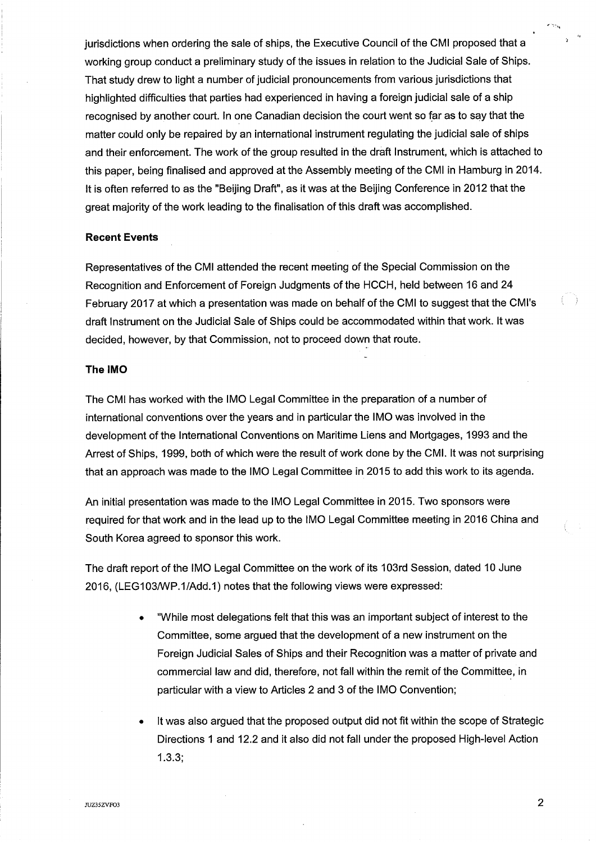jurisdictions when ordering the sale of ships, the Executive Council of the CMI proposed that a working group conduct a preliminary study of the issues in relation to the Judicial Sale of Ships. That study drew to light a number of judicial pronouncements from various jurisdictions that highlighted difficulties that parties had experienced in having a foreign judicial sale of a ship recognised by another court. In one Canadian decision the court went so far as to say that the matter could only be repaired by an international instrument regulating the judicial sale of ships and their enforcement. The work of the group resulted in the draft Instrument, which is attached to this paper, being finalised and approved at the Assembly meeting of the CMI in Hamburg in 2014. It is often referred to as the "Beijing Draft", as it was at the Beijing Conference in 2012 that the great majority of the work leading to the finalisation of this draft was accomplished.

#### Recent Events

Representatives of the CMI attended the recent meeting of the Special Commission on the Recognition and Enforcement of Foreign Judgments of the HCCH, held between 16 and 24 February 2017 at which a presentation was made on behalf of the CMI to suggest that the CMI's draft Instrument on the Judicial Sale of Ships could be accommodated within that work. It was decided, however, by that Commission, not to proceed down that route.

### The IMO

The CMI has worked with the IMO Legal Committee in the preparation of a number of international conventions over the years and in particular the IMO was involved in the development of the International Conventions on Maritime Liens and Mortgages, 1993 and the Arrest of Ships, 1999, both of which were the result of work done by the CMI. It was not surprising that an approach was made to the IMO Legal Committee in 2015 to add this work to its agenda.

An initial presentation was made to the IMO Legal Committee in 2015. Two sponsors were required for that work and in the lead up to the IMO Legal Committee meeting in 2016 China and South Korea agreed to sponsor this work.

The draft report of the IMO Legal Committee on the work of its 103rd Session, dated 10 June 2016, (LEG103/WP.1/Add.1) notes that the following views were expressed:

- "While most delegations felt that this was an important subject of interest to the Committee, some argued that the development of a new instrument on the Foreign Judicial Sales of Ships and their Recognition was a matter of private and commercial law and did, therefore, not fall within the remit of the Committee, in particular with a view to Articles 2 and 3 of the IMO Convention;
- It was also argued that the proposed output did not fit within the scope of Strategic Directions 1 and 12.2 and it also did not fall under the proposed High-level Action 1.3.3;

 $\left( \begin{array}{c} \end{array} \right)$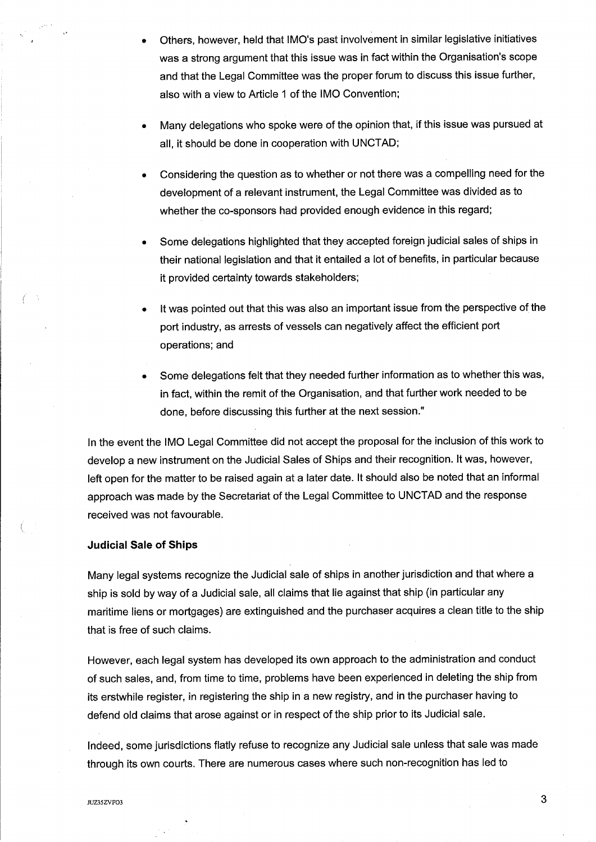- Others, however, held that IMO's past involvement in similar legislative initiatives was a strong argument that this issue was in fact within the Organisation's scope and that the Legal Committee was the proper forum to discuss this issue further, also with a view to Article 1 of the IMO Convention;
- Many delegations who spoke were of the opinion that, if this issue was pursued at all, it should be done in cooperation with UNCTAD;
- Considering the question as to whether or not there was a compelling need for the development of a relevant instrument, the Legal Committee was divided as to whether the co-sponsors had provided enough evidence in this regard;
- Some delegations highlighted that they accepted foreign judicial sales of ships in their national legislation and that it entailed a lot of benefits, in particular because it provided certainty towards stakeholders;
- It was pointed out that this was also an important issue from the perspective of the port industry, as arrests of vessels can negatively affect the efficient port operations; and
- Some delegations felt that they needed further information as to whether this was, in fact, within the remit of the Organisation, and that further work needed to be done, before discussing this further at the next session."

In the event the IMO Legal Committee did not accept the proposal for the inclusion of this work to develop a new instrument on the Judicial Sales of Ships and their recognition. It was, however, left open for the matter to be raised again at a later date. It should also be noted that an informal approach was made by the Secretariat of the Legal Committee to UNCTAD and the response received was not favourable.

### Judicial Sale of Ships

Many legal systems recognize the Judicial sale of ships in another jurisdiction and that where a ship is sold by way of a Judicial sale, all claims that lie against that ship (in particular any maritime liens or mortgages) are extinguished and the purchaser acquires a clean title to the ship that is free of such claims.

However, each legal system has developed its own approach to the administration and conduct of such sales, and, from time to time, problems have been experienced in deleting the ship from its erstwhile register, in registering the ship in a new registry, and in the purchaser having to defend old claims that arose against or in respect of the ship prior to its Judicial sale.

Indeed, some jurisdictions flatly refuse to recognize any Judicial sale unless that sale was made through its own courts. There are numerous cases where such non-recognition has led to